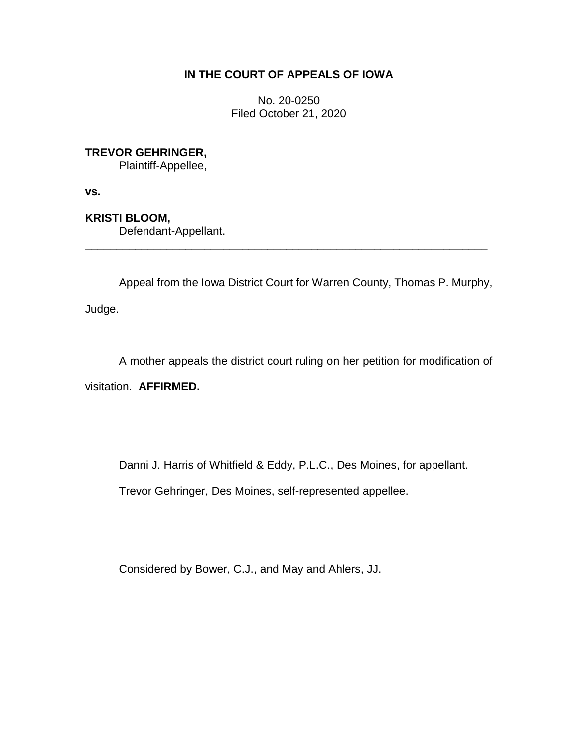# **IN THE COURT OF APPEALS OF IOWA**

No. 20-0250 Filed October 21, 2020

**TREVOR GEHRINGER,**

Plaintiff-Appellee,

**vs.**

**KRISTI BLOOM,**

Defendant-Appellant.

Appeal from the Iowa District Court for Warren County, Thomas P. Murphy,

\_\_\_\_\_\_\_\_\_\_\_\_\_\_\_\_\_\_\_\_\_\_\_\_\_\_\_\_\_\_\_\_\_\_\_\_\_\_\_\_\_\_\_\_\_\_\_\_\_\_\_\_\_\_\_\_\_\_\_\_\_\_\_\_

Judge.

A mother appeals the district court ruling on her petition for modification of

visitation. **AFFIRMED.**

Danni J. Harris of Whitfield & Eddy, P.L.C., Des Moines, for appellant.

Trevor Gehringer, Des Moines, self-represented appellee.

Considered by Bower, C.J., and May and Ahlers, JJ.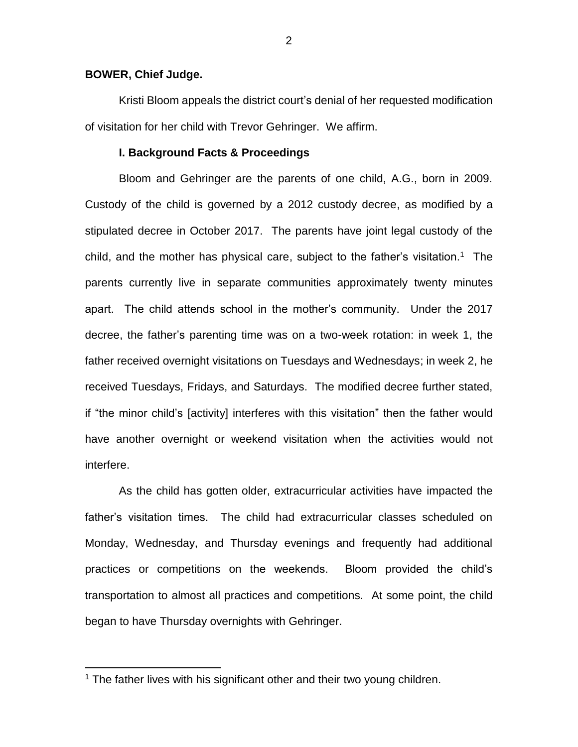#### **BOWER, Chief Judge.**

 $\overline{a}$ 

Kristi Bloom appeals the district court's denial of her requested modification of visitation for her child with Trevor Gehringer. We affirm.

#### **I. Background Facts & Proceedings**

Bloom and Gehringer are the parents of one child, A.G., born in 2009. Custody of the child is governed by a 2012 custody decree, as modified by a stipulated decree in October 2017. The parents have joint legal custody of the child, and the mother has physical care, subject to the father's visitation.<sup>1</sup> The parents currently live in separate communities approximately twenty minutes apart. The child attends school in the mother's community. Under the 2017 decree, the father's parenting time was on a two-week rotation: in week 1, the father received overnight visitations on Tuesdays and Wednesdays; in week 2, he received Tuesdays, Fridays, and Saturdays. The modified decree further stated, if "the minor child's [activity] interferes with this visitation" then the father would have another overnight or weekend visitation when the activities would not interfere.

As the child has gotten older, extracurricular activities have impacted the father's visitation times. The child had extracurricular classes scheduled on Monday, Wednesday, and Thursday evenings and frequently had additional practices or competitions on the weekends. Bloom provided the child's transportation to almost all practices and competitions. At some point, the child began to have Thursday overnights with Gehringer.

<sup>&</sup>lt;sup>1</sup> The father lives with his significant other and their two young children.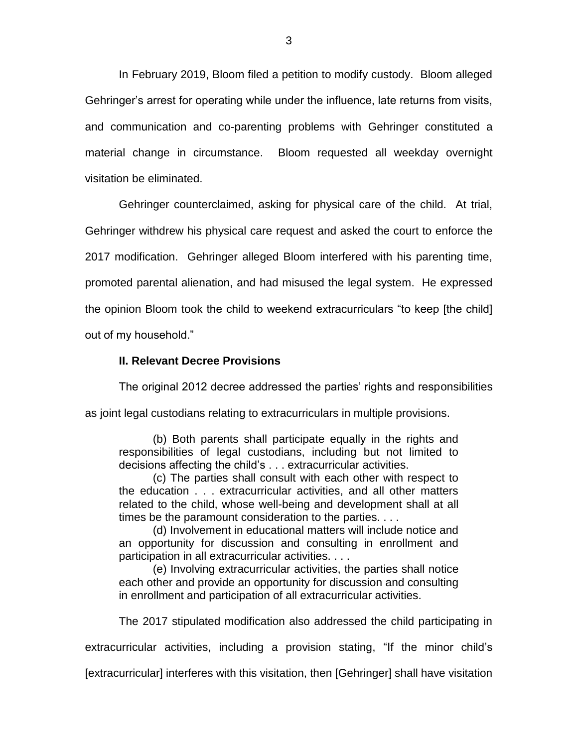In February 2019, Bloom filed a petition to modify custody. Bloom alleged Gehringer's arrest for operating while under the influence, late returns from visits, and communication and co-parenting problems with Gehringer constituted a material change in circumstance. Bloom requested all weekday overnight visitation be eliminated.

Gehringer counterclaimed, asking for physical care of the child. At trial, Gehringer withdrew his physical care request and asked the court to enforce the 2017 modification. Gehringer alleged Bloom interfered with his parenting time, promoted parental alienation, and had misused the legal system. He expressed the opinion Bloom took the child to weekend extracurriculars "to keep [the child] out of my household."

#### **II. Relevant Decree Provisions**

The original 2012 decree addressed the parties' rights and responsibilities as joint legal custodians relating to extracurriculars in multiple provisions.

(b) Both parents shall participate equally in the rights and responsibilities of legal custodians, including but not limited to decisions affecting the child's . . . extracurricular activities.

(c) The parties shall consult with each other with respect to the education . . . extracurricular activities, and all other matters related to the child, whose well-being and development shall at all times be the paramount consideration to the parties. . . .

(d) Involvement in educational matters will include notice and an opportunity for discussion and consulting in enrollment and participation in all extracurricular activities. . . .

(e) Involving extracurricular activities, the parties shall notice each other and provide an opportunity for discussion and consulting in enrollment and participation of all extracurricular activities.

The 2017 stipulated modification also addressed the child participating in

extracurricular activities, including a provision stating, "If the minor child's

[extracurricular] interferes with this visitation, then [Gehringer] shall have visitation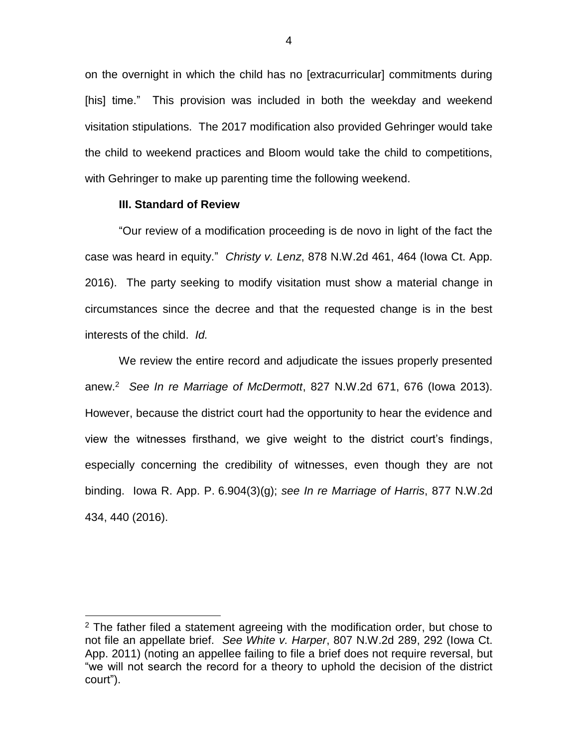on the overnight in which the child has no [extracurricular] commitments during [his] time." This provision was included in both the weekday and weekend visitation stipulations. The 2017 modification also provided Gehringer would take the child to weekend practices and Bloom would take the child to competitions, with Gehringer to make up parenting time the following weekend.

#### **III. Standard of Review**

 $\overline{a}$ 

"Our review of a modification proceeding is de novo in light of the fact the case was heard in equity." *Christy v. Lenz*, 878 N.W.2d 461, 464 (Iowa Ct. App. 2016). The party seeking to modify visitation must show a material change in circumstances since the decree and that the requested change is in the best interests of the child. *Id.*

We review the entire record and adjudicate the issues properly presented anew.<sup>2</sup> *See In re Marriage of McDermott*, 827 N.W.2d 671, 676 (Iowa 2013). However, because the district court had the opportunity to hear the evidence and view the witnesses firsthand, we give weight to the district court's findings, especially concerning the credibility of witnesses, even though they are not binding. Iowa R. App. P. 6.904(3)(g); *see In re Marriage of Harris*, 877 N.W.2d 434, 440 (2016).

 $2$  The father filed a statement agreeing with the modification order, but chose to not file an appellate brief. *See White v. Harper*, 807 N.W.2d 289, 292 (Iowa Ct. App. 2011) (noting an appellee failing to file a brief does not require reversal, but "we will not search the record for a theory to uphold the decision of the district court").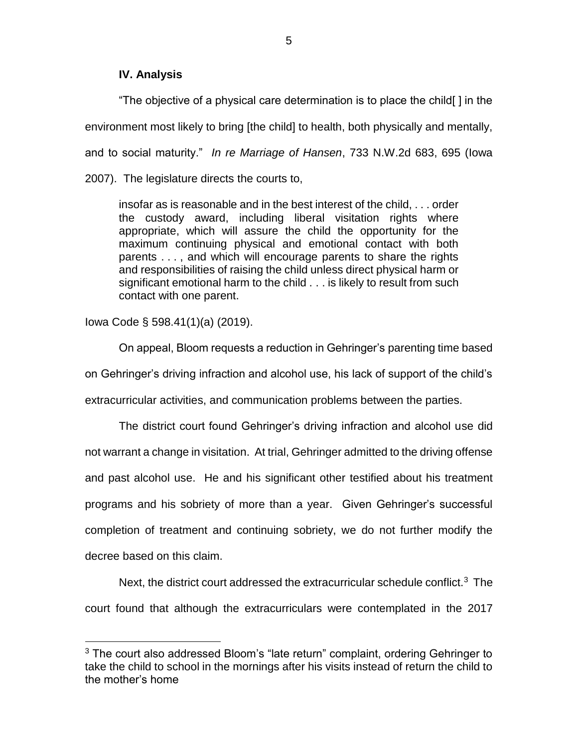### **IV. Analysis**

"The objective of a physical care determination is to place the child[ ] in the environment most likely to bring [the child] to health, both physically and mentally, and to social maturity." *In re Marriage of Hansen*, 733 N.W.2d 683, 695 (Iowa 2007). The legislature directs the courts to,

insofar as is reasonable and in the best interest of the child, . . . order the custody award, including liberal visitation rights where appropriate, which will assure the child the opportunity for the maximum continuing physical and emotional contact with both parents . . . , and which will encourage parents to share the rights and responsibilities of raising the child unless direct physical harm or significant emotional harm to the child . . . is likely to result from such contact with one parent.

Iowa Code § 598.41(1)(a) (2019).

 $\overline{a}$ 

On appeal, Bloom requests a reduction in Gehringer's parenting time based on Gehringer's driving infraction and alcohol use, his lack of support of the child's extracurricular activities, and communication problems between the parties.

The district court found Gehringer's driving infraction and alcohol use did not warrant a change in visitation. At trial, Gehringer admitted to the driving offense and past alcohol use. He and his significant other testified about his treatment programs and his sobriety of more than a year. Given Gehringer's successful completion of treatment and continuing sobriety, we do not further modify the decree based on this claim.

Next, the district court addressed the extracurricular schedule conflict.<sup>3</sup> The court found that although the extracurriculars were contemplated in the 2017

 $3$  The court also addressed Bloom's "late return" complaint, ordering Gehringer to take the child to school in the mornings after his visits instead of return the child to the mother's home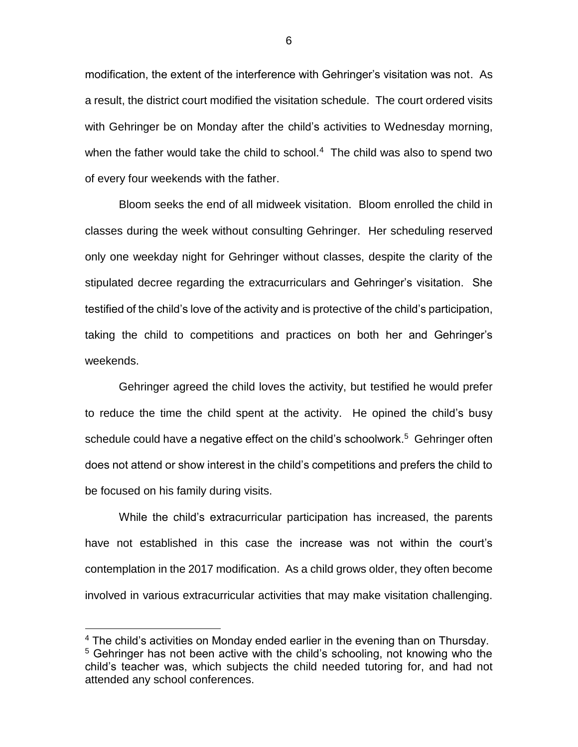modification, the extent of the interference with Gehringer's visitation was not. As a result, the district court modified the visitation schedule. The court ordered visits with Gehringer be on Monday after the child's activities to Wednesday morning, when the father would take the child to school.<sup>4</sup> The child was also to spend two of every four weekends with the father.

Bloom seeks the end of all midweek visitation. Bloom enrolled the child in classes during the week without consulting Gehringer. Her scheduling reserved only one weekday night for Gehringer without classes, despite the clarity of the stipulated decree regarding the extracurriculars and Gehringer's visitation. She testified of the child's love of the activity and is protective of the child's participation, taking the child to competitions and practices on both her and Gehringer's weekends.

Gehringer agreed the child loves the activity, but testified he would prefer to reduce the time the child spent at the activity. He opined the child's busy schedule could have a negative effect on the child's schoolwork.<sup>5</sup> Gehringer often does not attend or show interest in the child's competitions and prefers the child to be focused on his family during visits.

While the child's extracurricular participation has increased, the parents have not established in this case the increase was not within the court's contemplation in the 2017 modification. As a child grows older, they often become involved in various extracurricular activities that may make visitation challenging.

 $\overline{a}$ 

<sup>&</sup>lt;sup>4</sup> The child's activities on Monday ended earlier in the evening than on Thursday. <sup>5</sup> Gehringer has not been active with the child's schooling, not knowing who the child's teacher was, which subjects the child needed tutoring for, and had not attended any school conferences.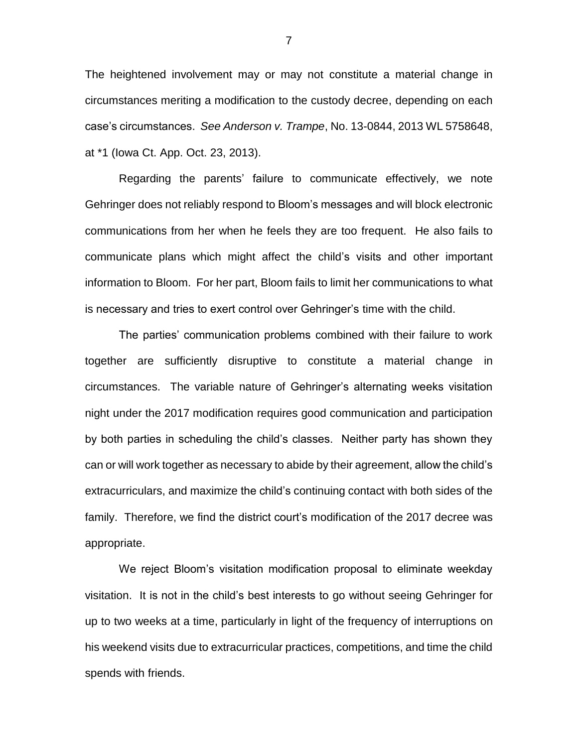The heightened involvement may or may not constitute a material change in circumstances meriting a modification to the custody decree, depending on each case's circumstances. *See Anderson v. Trampe*, No. 13-0844, 2013 WL 5758648, at \*1 (Iowa Ct. App. Oct. 23, 2013).

Regarding the parents' failure to communicate effectively, we note Gehringer does not reliably respond to Bloom's messages and will block electronic communications from her when he feels they are too frequent. He also fails to communicate plans which might affect the child's visits and other important information to Bloom. For her part, Bloom fails to limit her communications to what is necessary and tries to exert control over Gehringer's time with the child.

The parties' communication problems combined with their failure to work together are sufficiently disruptive to constitute a material change in circumstances. The variable nature of Gehringer's alternating weeks visitation night under the 2017 modification requires good communication and participation by both parties in scheduling the child's classes. Neither party has shown they can or will work together as necessary to abide by their agreement, allow the child's extracurriculars, and maximize the child's continuing contact with both sides of the family. Therefore, we find the district court's modification of the 2017 decree was appropriate.

We reject Bloom's visitation modification proposal to eliminate weekday visitation. It is not in the child's best interests to go without seeing Gehringer for up to two weeks at a time, particularly in light of the frequency of interruptions on his weekend visits due to extracurricular practices, competitions, and time the child spends with friends.

7